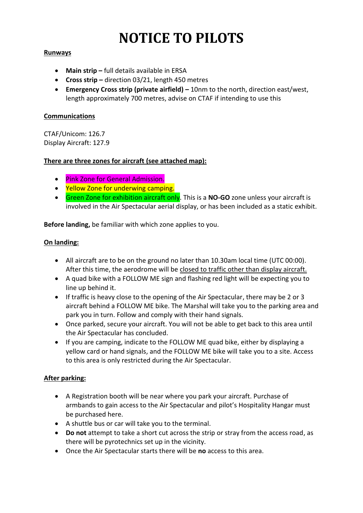# **NOTICE TO PILOTS**

### **Runways**

- **Main strip –** full details available in ERSA
- **Cross strip –** direction 03/21, length 450 metres
- **Emergency Cross strip (private airfield) –** 10nm to the north, direction east/west, length approximately 700 metres, advise on CTAF if intending to use this

#### **Communications**

CTAF/Unicom: 126.7 Display Aircraft: 127.9

#### **There are three zones for aircraft (see attached map):**

- Pink Zone for General Admission.
- Yellow Zone for underwing camping.
- Green Zone for exhibition aircraft only. This is a **NO-GO** zone unless your aircraft is involved in the Air Spectacular aerial display, or has been included as a static exhibit.

**Before landing,** be familiar with which zone applies to you.

#### **On landing:**

- All aircraft are to be on the ground no later than 10.30am local time (UTC 00:00). After this time, the aerodrome will be closed to traffic other than display aircraft.
- A quad bike with a FOLLOW ME sign and flashing red light will be expecting you to line up behind it.
- If traffic is heavy close to the opening of the Air Spectacular, there may be 2 or 3 aircraft behind a FOLLOW ME bike. The Marshal will take you to the parking area and park you in turn. Follow and comply with their hand signals.
- Once parked, secure your aircraft. You will not be able to get back to this area until the Air Spectacular has concluded.
- If you are camping, indicate to the FOLLOW ME quad bike, either by displaying a yellow card or hand signals, and the FOLLOW ME bike will take you to a site. Access to this area is only restricted during the Air Spectacular.

#### **After parking:**

- A Registration booth will be near where you park your aircraft. Purchase of armbands to gain access to the Air Spectacular and pilot's Hospitality Hangar must be purchased here.
- A shuttle bus or car will take you to the terminal.
- **Do not** attempt to take a short cut across the strip or stray from the access road, as there will be pyrotechnics set up in the vicinity.
- Once the Air Spectacular starts there will be **no** access to this area.